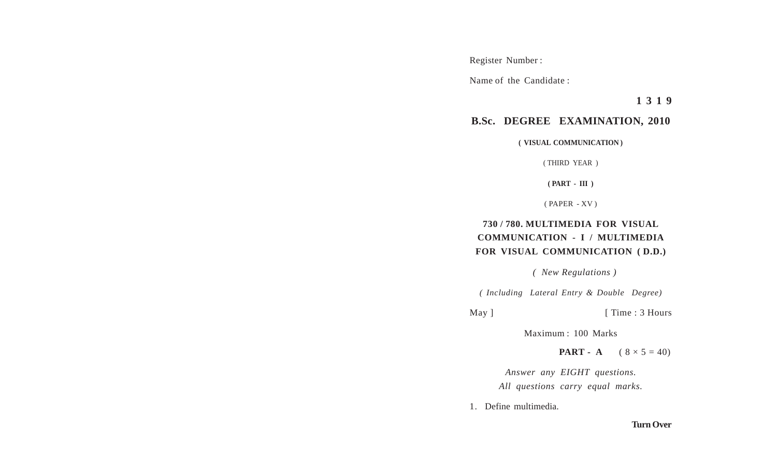Register Number :

Name of the Candidate :

**1 3 1 9**

## **B.Sc. DEGREE EXAMINATION, 2010**

**( VISUAL COMMUNICATION )**

( THIRD YEAR )

**( PART - III )**

( PAPER - XV )

## **730 / 780. MULTIMEDIA FOR VISUAL COMMUNICATION - I / MULTIMEDIA FOR VISUAL COMMUNICATION ( D.D.)**

 *( New Regulations )*

*( Including Lateral Entry & Double Degree)*

May ] [ Time : 3 Hours

Maximum : 100 Marks

**PART** - **A**  $(8 \times 5 = 40)$ 

*Answer any EIGHT questions. All questions carry equal marks.*

1. Define multimedia.

## **Turn Over**